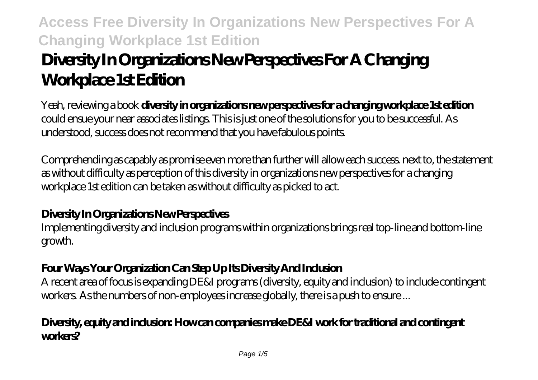# **Diversity In Organizations New Perspectives For A Changing Workplace 1st Edition**

Yeah, reviewing a book **diversity in organizations new perspectives for a changing workplace 1st edition** could ensue your near associates listings. This is just one of the solutions for you to be successful. As understood, success does not recommend that you have fabulous points.

Comprehending as capably as promise even more than further will allow each success. next to, the statement as without difficulty as perception of this diversity in organizations new perspectives for a changing workplace 1st edition can be taken as without difficulty as picked to act.

## **Diversity In Organizations New Perspectives**

Implementing diversity and inclusion programs within organizations brings real top-line and bottom-line growth.

## **Four Ways Your Organization Can Step Up Its Diversity And Inclusion**

A recent area of focus is expanding DE&I programs (diversity, equity and inclusion) to include contingent workers. As the numbers of non-employees increase globally, there is a push to ensure ...

#### **Diversity, equity and inclusion: How can companies make DE&I work for traditional and contingent workers?**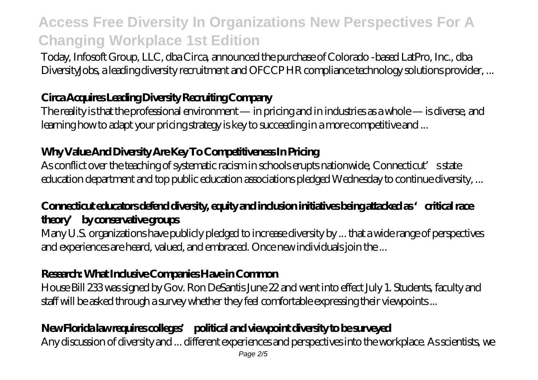Today, Infosoft Group, LLC, dba Circa, announced the purchase of Colorado -based LatPro, Inc., dba DiversityJobs, a leading diversity recruitment and OFCCP HR compliance technology solutions provider, ...

## **Circa Acquires Leading Diversity Recruiting Company**

The reality is that the professional environment — in pricing and in industries as a whole — is diverse, and learning how to adapt your pricing strategy is key to succeeding in a more competitive and ...

## **Why Value And Diversity Are Key To Competitiveness In Pricing**

As conflict over the teaching of systematic racism in schools erupts nationwide, Connecticut's state education department and top public education associations pledged Wednesday to continue diversity, ...

## **Connecticut educators defend diversity, equity and inclusion initiatives being attacked as 'critical race theory' by conservative groups**

Many U.S. organizations have publicly pledged to increase diversity by ... that a wide range of perspectives and experiences are heard, valued, and embraced. Once new individuals join the ...

## **Research: What Inclusive Companies Have in Common**

House Bill 233 was signed by Gov. Ron DeSantis June 22 and went into effect July 1. Students, faculty and staff will be asked through a survey whether they feel comfortable expressing their viewpoints ...

## **New Florida law requires colleges' political and viewpoint diversity to be surveyed**

Any discussion of diversity and ... different experiences and perspectives into the workplace. As scientists, we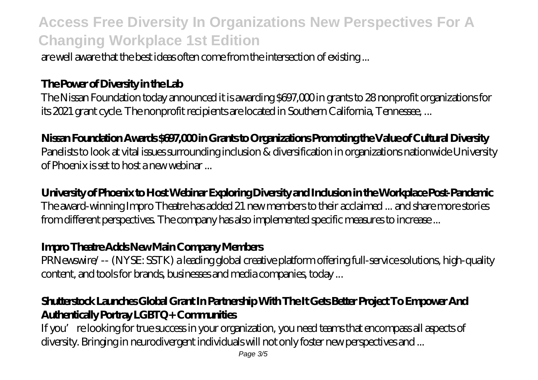are well aware that the best ideas often come from the intersection of existing ...

#### **The Power of Diversity in the Lab**

The Nissan Foundation today announced it is awarding \$697,000 in grants to 28 nonprofit organizations for its 2021 grant cycle. The nonprofit recipients are located in Southern California, Tennessee, ...

#### **Nissan Foundation Awards \$697,000 in Grants to Organizations Promoting the Value of Cultural Diversity**

Panelists to look at vital issues surrounding inclusion & diversification in organizations nationwide University of Phoenix is set to host a new webinar ...

#### **University of Phoenix to Host Webinar Exploring Diversity and Inclusion in the Workplace Post-Pandemic**

The award-winning Impro Theatre has added 21 new members to their acclaimed ... and share more stories from different perspectives. The company has also implemented specific measures to increase ...

#### **Impro Theatre Adds New Main Company Members**

PRNewswire/ -- (NYSE: SSTK) a leading global creative platform offering full-service solutions, high-quality content, and tools for brands, businesses and media companies, today ...

## **Shutterstock Launches Global Grant In Partnership With The It Gets Better Project To Empower And Authentically Portray LGBTQ+ Communities**

If you're looking for true success in your organization, you need teams that encompass all aspects of diversity. Bringing in neurodivergent individuals will not only foster new perspectives and ...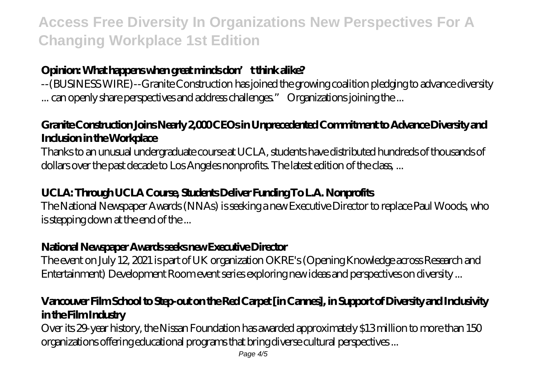## **Opinion: What happens when great minds don't think alike?**

--(BUSINESS WIRE)--Granite Construction has joined the growing coalition pledging to advance diversity ... can openly share perspectives and address challenges." Organizations joining the ...

## **Granite Construction Joins Nearly 2,000 CEOs in Unprecedented Commitment to Advance Diversity and Inclusion in the Workplace**

Thanks to an unusual undergraduate course at UCLA, students have distributed hundreds of thousands of dollars over the past decade to Los Angeles nonprofits. The latest edition of the class, ...

## **UCLA: Through UCLA Course, Students Deliver Funding To L.A. Nonprofits**

The National Newspaper Awards (NNAs) is seeking a new Executive Director to replace Paul Woods, who is stepping down at the end of the ...

## **National Newspaper Awards seeks new Executive Director**

The event on July 12, 2021 is part of UK organization OKRE's (Opening Knowledge across Research and Entertainment) Development Room event series exploring new ideas and perspectives on diversity ...

## **Vancouver Film School to Step-out on the Red Carpet [in Cannes], in Support of Diversity and Inclusivity in the Film Industry**

Over its 29-year history, the Nissan Foundation has awarded approximately \$13 million to more than 150 organizations offering educational programs that bring diverse cultural perspectives ...